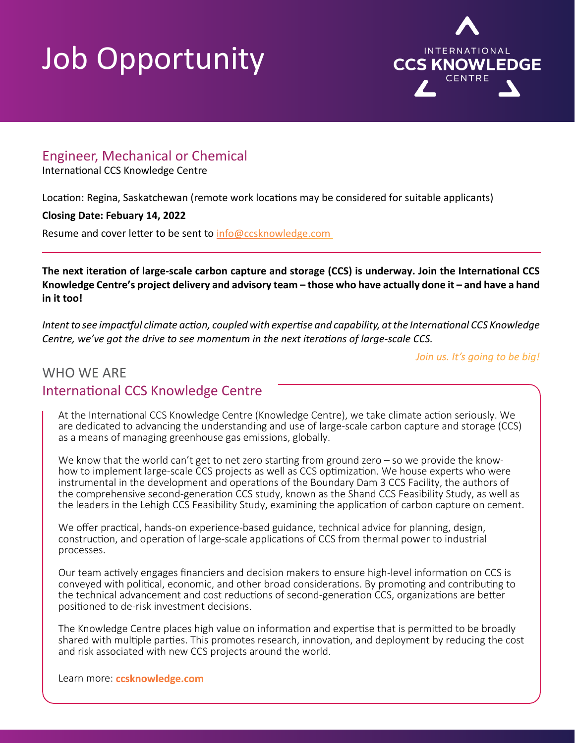## Job Opportunity



### Engineer, Mechanical or Chemical

International CCS Knowledge Centre

Location: Regina, Saskatchewan (remote work locations may be considered for suitable applicants)

#### **Closing Date: Febuary 14, 2022**

Resume and cover letter to be sent to info@ccsknowledge.com

**The next iteration of large-scale carbon capture and storage (CCS) is underway. Join the International CCS Knowledge Centre's project delivery and advisory team – those who have actually done it – and have a hand in it too!**

*Intent to see impactful climate action, coupled with expertise and capability, at the International CCS Knowledge Centre, we've got the drive to see momentum in the next iterations of large-scale CCS.* 

*Join us. It's going to be big!*

### WHO WE ARE International CCS Knowledge Centre

At the International CCS Knowledge Centre (Knowledge Centre), we take climate action seriously. We are dedicated to advancing the understanding and use of large-scale carbon capture and storage (CCS) as a means of managing greenhouse gas emissions, globally.

We know that the world can't get to net zero starting from ground zero – so we provide the knowhow to implement large-scale CCS projects as well as CCS optimization. We house experts who were instrumental in the development and operations of the Boundary Dam 3 CCS Facility, the authors of the comprehensive second-generation CCS study, known as the Shand CCS Feasibility Study, as well as the leaders in the Lehigh CCS Feasibility Study, examining the application of carbon capture on cement.

We offer practical, hands-on experience-based guidance, technical advice for planning, design, construction, and operation of large-scale applications of CCS from thermal power to industrial processes.

Our team actively engages financiers and decision makers to ensure high-level information on CCS is conveyed with political, economic, and other broad considerations. By promoting and contributing to the technical advancement and cost reductions of second-generation CCS, organizations are better positioned to de-risk investment decisions.

The Knowledge Centre places high value on information and expertise that is permitted to be broadly shared with multiple parties. This promotes research, innovation, and deployment by reducing the cost and risk associated with new CCS projects around the world.

Learn more: **[ccsknowledge.com](http://ccsknowledge.com)**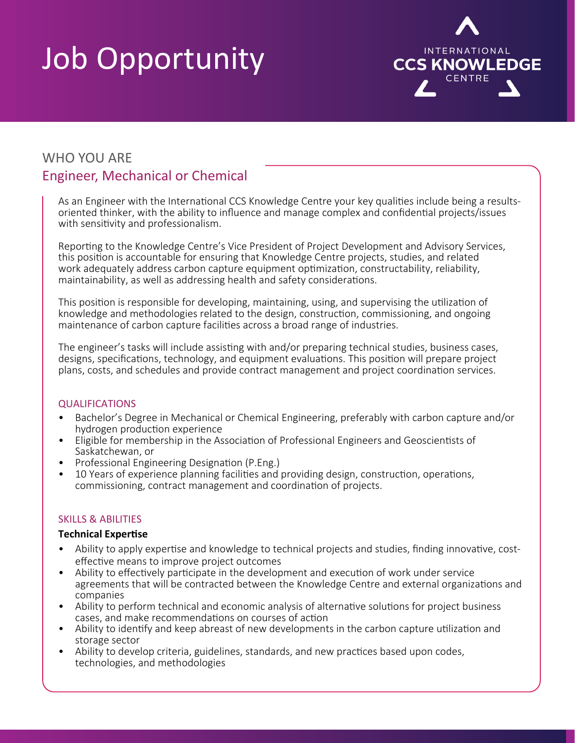# Job Opportunity



### WHO YOU ARE Engineer, Mechanical or Chemical

As an Engineer with the International CCS Knowledge Centre your key qualities include being a resultsoriented thinker, with the ability to influence and manage complex and confidential projects/issues with sensitivity and professionalism.

Reporting to the Knowledge Centre's Vice President of Project Development and Advisory Services, this position is accountable for ensuring that Knowledge Centre projects, studies, and related work adequately address carbon capture equipment optimization, constructability, reliability, maintainability, as well as addressing health and safety considerations.

This position is responsible for developing, maintaining, using, and supervising the utilization of knowledge and methodologies related to the design, construction, commissioning, and ongoing maintenance of carbon capture facilities across a broad range of industries.

The engineer's tasks will include assisting with and/or preparing technical studies, business cases, designs, specifications, technology, and equipment evaluations. This position will prepare project plans, costs, and schedules and provide contract management and project coordination services.

#### **QUALIFICATIONS**

- Bachelor's Degree in Mechanical or Chemical Engineering, preferably with carbon capture and/or hydrogen production experience
- Eligible for membership in the Association of Professional Engineers and Geoscientists of
- 
- Saskatchewan, or<br>• Professional Engineering Designation (P.Eng.)<br>• 10 Years of experience planning facilities and providing design, construction, operations, commissioning, contract management and coordination of projects.

#### SKILLS & ABILITIES

#### **Technical Expertise**

- Ability to apply expertise and knowledge to technical projects and studies, finding innovative, costeffective means to improve project outcomes<br>Ability to effectively participate in the development and execution of work under service
- agreements that will be contracted between the Knowledge Centre and external organizations and companies
- Ability to perform technical and economic analysis of alternative solutions for project business cases, and make recommendations on courses of action
- Ability to identify and keep abreast of new developments in the carbon capture utilization and storage sector
- Ability to develop criteria, guidelines, standards, and new practices based upon codes, technologies, and methodologies